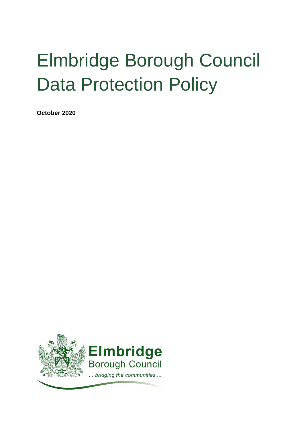# Elmbridge Borough Council Data Protection Policy

**October 2020**

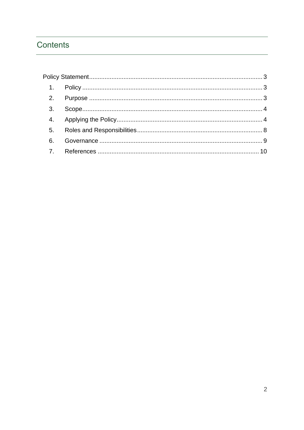# Contents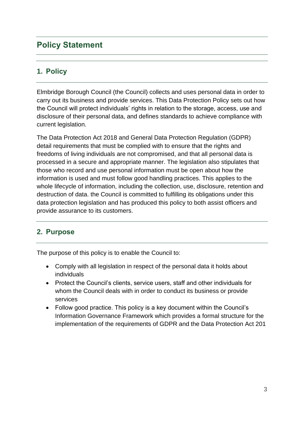## <span id="page-2-0"></span>**Policy Statement**

## <span id="page-2-1"></span>**1. Policy**

Elmbridge Borough Council (the Council) collects and uses personal data in order to carry out its business and provide services. This Data Protection Policy sets out how the Council will protect individuals' rights in relation to the storage, access, use and disclosure of their personal data, and defines standards to achieve compliance with current legislation.

The Data Protection Act 2018 and General Data Protection Regulation (GDPR) detail requirements that must be complied with to ensure that the rights and freedoms of living individuals are not compromised, and that all personal data is processed in a secure and appropriate manner. The legislation also stipulates that those who record and use personal information must be open about how the information is used and must follow good handling practices. This applies to the whole lifecycle of information, including the collection, use, disclosure, retention and destruction of data. the Council is committed to fulfilling its obligations under this data protection legislation and has produced this policy to both assist officers and provide assurance to its customers.

## <span id="page-2-2"></span>**2. Purpose**

The purpose of this policy is to enable the Council to:

- Comply with all legislation in respect of the personal data it holds about individuals
- Protect the Council's clients, service users, staff and other individuals for whom the Council deals with in order to conduct its business or provide services
- Follow good practice. This policy is a key document within the Council's Information Governance Framework which provides a formal structure for the implementation of the requirements of GDPR and the Data Protection Act 201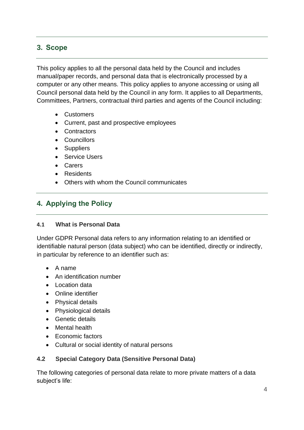## <span id="page-3-0"></span>**3. Scope**

This policy applies to all the personal data held by the Council and includes manual/paper records, and personal data that is electronically processed by a computer or any other means. This policy applies to anyone accessing or using all Council personal data held by the Council in any form. It applies to all Departments, Committees, Partners, contractual third parties and agents of the Council including:

- Customers
- Current, past and prospective employees
- Contractors
- Councillors
- Suppliers
- Service Users
- Carers
- Residents
- Others with whom the Council communicates

## <span id="page-3-1"></span>**4. Applying the Policy**

#### **4.1 What is Personal Data**

Under GDPR Personal data refers to any information relating to an identified or identifiable natural person (data subject) who can be identified, directly or indirectly, in particular by reference to an identifier such as:

- A name
- An identification number
- Location data
- Online identifier
- Physical details
- Physiological details
- Genetic details
- Mental health
- Economic factors
- Cultural or social identity of natural persons

#### **4.2 Special Category Data (Sensitive Personal Data)**

The following categories of personal data relate to more private matters of a data subject's life: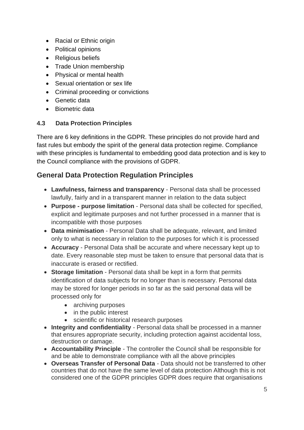- Racial or Ethnic origin
- Political opinions
- Religious beliefs
- Trade Union membership
- Physical or mental health
- Sexual orientation or sex life
- Criminal proceeding or convictions
- Genetic data
- Biometric data

#### **4.3 Data Protection Principles**

There are 6 key definitions in the GDPR. These principles do not provide hard and fast rules but embody the spirit of the general data protection regime. Compliance with these principles is fundamental to embedding good data protection and is key to the Council compliance with the provisions of GDPR.

## **General Data Protection Regulation Principles**

- **Lawfulness, fairness and transparency** Personal data shall be processed lawfully, fairly and in a transparent manner in relation to the data subject
- **Purpose - purpose limitation**  Personal data shall be collected for specified, explicit and legitimate purposes and not further processed in a manner that is incompatible with those purposes
- **Data minimisation**  Personal Data shall be adequate, relevant, and limited only to what is necessary in relation to the purposes for which it is processed
- **Accuracy**  Personal Data shall be accurate and where necessary kept up to date. Every reasonable step must be taken to ensure that personal data that is inaccurate is erased or rectified.
- **Storage limitation** Personal data shall be kept in a form that permits identification of data subjects for no longer than is necessary. Personal data may be stored for longer periods in so far as the said personal data will be processed only for
	- archiving purposes
	- in the public interest
	- scientific or historical research purposes
- **Integrity and confidentiality** Personal data shall be processed in a manner that ensures appropriate security, including protection against accidental loss, destruction or damage.
- **Accountability Principle** The controller the Council shall be responsible for and be able to demonstrate compliance with all the above principles
- **Overseas Transfer of Personal Data** Data should not be transferred to other countries that do not have the same level of data protection Although this is not considered one of the GDPR principles GDPR does require that organisations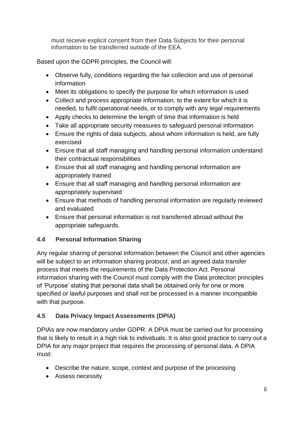must receive explicit consent from their Data Subjects for their personal information to be transferred outside of the EEA.

Based upon the GDPR principles, the Council will:

- Observe fully, conditions regarding the fair collection and use of personal information
- Meet its obligations to specify the purpose for which information is used
- Collect and process appropriate information, to the extent for which it is needed, to fulfil operational needs, or to comply with any legal requirements
- Apply checks to determine the length of time that information is held
- Take all appropriate security measures to safeguard personal information
- Ensure the rights of data subjects, about whom information is held, are fully exercised
- Ensure that all staff managing and handling personal information understand their contractual responsibilities
- Ensure that all staff managing and handling personal information are appropriately trained
- Ensure that all staff managing and handling personal information are appropriately supervised
- Ensure that methods of handling personal information are regularly reviewed and evaluated
- Ensure that personal information is not transferred abroad without the appropriate safeguards.

## **4.4 Personal Information Sharing**

Any regular sharing of personal information between the Council and other agencies will be subject to an information sharing protocol, and an agreed data transfer process that meets the requirements of the Data Protection Act. Personal information sharing with the Council must comply with the Data protection principles of 'Purpose' stating that personal data shall be obtained only for one or more specified or lawful purposes and shall not be processed in a manner incompatible with that purpose.

## **4.5 Data Privacy Impact Assessments (DPIA)**

DPIAs are now mandatory under GDPR. A DPIA must be carried out for processing that is likely to result in a high risk to individuals. It is also good practice to carry out a DPIA for any major project that requires the processing of personal data. A DPIA must:

- Describe the nature, scope, context and purpose of the processing
- Assess necessity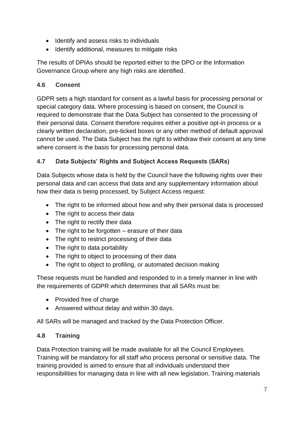- Identify and assess risks to individuals
- Identify additional, measures to mitigate risks

The results of DPIAs should be reported either to the DPO or the Information Governance Group where any high risks are identified.

#### **4.6 Consent**

GDPR sets a high standard for consent as a lawful basis for processing personal or special category data. Where processing is based on consent, the Council is required to demonstrate that the Data Subject has consented to the processing of their personal data. Consent therefore requires either a positive opt-in process or a clearly written declaration, pre-ticked boxes or any other method of default approval cannot be used. The Data Subject has the right to withdraw their consent at any time where consent is the basis for processing personal data.

## **4.7 Data Subjects' Rights and Subject Access Requests (SARs)**

Data Subjects whose data is held by the Council have the following rights over their personal data and can access that data and any supplementary information about how their data is being processed, by Subject Access request:

- The right to be informed about how and why their personal data is processed
- The right to access their data
- The right to rectify their data
- The right to be forgotten erasure of their data
- The right to restrict processing of their data
- The right to data portability
- The right to object to processing of their data
- The right to object to profiling, or automated decision making

These requests must be handled and responded to in a timely manner in line with the requirements of GDPR which determines that all SARs must be:

- Provided free of charge
- Answered without delay and within 30 days.

All SARs will be managed and tracked by the Data Protection Officer.

#### **4.8 Training**

Data Protection training will be made available for all the Council Employees. Training will be mandatory for all staff who process personal or sensitive data. The training provided is aimed to ensure that all individuals understand their responsibilities for managing data in line with all new legislation. Training materials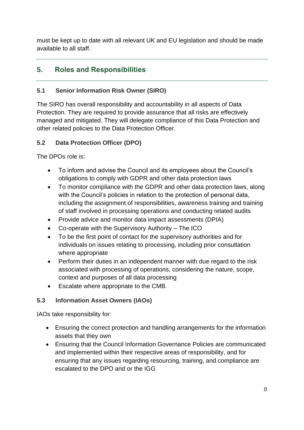must be kept up to date with all relevant UK and EU legislation and should be made available to all staff.

## <span id="page-7-0"></span>**5. Roles and Responsibilities**

#### **5.1 Senior Information Risk Owner (SIRO)**

The SIRO has overall responsibility and accountability in all aspects of Data Protection. They are required to provide assurance that all risks are effectively managed and mitigated. They will delegate compliance of this Data Protection and other related policies to the Data Protection Officer.

#### **5.2 Data Protection Officer (DPO)**

The DPOs role is:

- To inform and advise the Council and its employees about the Council's obligations to comply with GDPR and other data protection laws
- To monitor compliance with the GDPR and other data protection laws, along with the Council's policies in relation to the protection of personal data, including the assignment of responsibilities, awareness training and training of staff involved in processing operations and conducting related audits
- Provide advice and monitor data impact assessments (DPIA)
- Co-operate with the Supervisory Authority The ICO
- To be the first point of contact for the supervisory authorities and for individuals on issues relating to processing, including prior consultation where appropriate
- Perform their duties in an independent manner with due regard to the risk associated with processing of operations, considering the nature, scope, context and purposes of all data processing
- Escalate where appropriate to the CMB.

#### **5.3 Information Asset Owners (IAOs)**

IAOs take responsibility for:

- Ensuring the correct protection and handling arrangements for the information assets that they own
- Ensuring that the Council Information Governance Policies are communicated and implemented within their respective areas of responsibility, and for ensuring that any issues regarding resourcing, training, and compliance are escalated to the DPO and or the IGG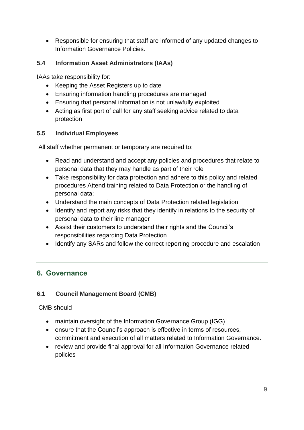• Responsible for ensuring that staff are informed of any updated changes to Information Governance Policies.

#### **5.4 Information Asset Administrators (IAAs)**

IAAs take responsibility for:

- Keeping the Asset Registers up to date
- Ensuring information handling procedures are managed
- Ensuring that personal information is not unlawfully exploited
- Acting as first port of call for any staff seeking advice related to data protection

#### **5.5 Individual Employees**

All staff whether permanent or temporary are required to:

- Read and understand and accept any policies and procedures that relate to personal data that they may handle as part of their role
- Take responsibility for data protection and adhere to this policy and related procedures Attend training related to Data Protection or the handling of personal data;
- Understand the main concepts of Data Protection related legislation
- Identify and report any risks that they identify in relations to the security of personal data to their line manager
- Assist their customers to understand their rights and the Council's responsibilities regarding Data Protection
- Identify any SARs and follow the correct reporting procedure and escalation

## <span id="page-8-0"></span>**6. Governance**

#### **6.1 Council Management Board (CMB)**

#### CMB should

- maintain oversight of the Information Governance Group (IGG)
- ensure that the Council's approach is effective in terms of resources, commitment and execution of all matters related to Information Governance.
- review and provide final approval for all Information Governance related policies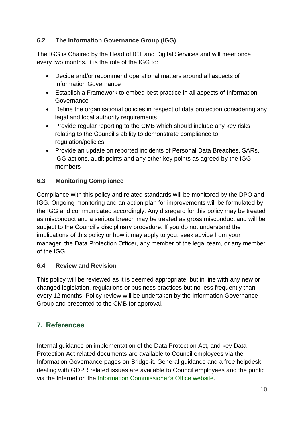#### **6.2 The Information Governance Group (IGG)**

The IGG is Chaired by the Head of ICT and Digital Services and will meet once every two months. It is the role of the IGG to:

- Decide and/or recommend operational matters around all aspects of Information Governance
- Establish a Framework to embed best practice in all aspects of Information Governance
- Define the organisational policies in respect of data protection considering any legal and local authority requirements
- Provide regular reporting to the CMB which should include any key risks relating to the Council's ability to demonstrate compliance to regulation/policies
- Provide an update on reported incidents of Personal Data Breaches, SARs, IGG actions, audit points and any other key points as agreed by the IGG members

#### **6.3 Monitoring Compliance**

Compliance with this policy and related standards will be monitored by the DPO and IGG. Ongoing monitoring and an action plan for improvements will be formulated by the IGG and communicated accordingly. Any disregard for this policy may be treated as misconduct and a serious breach may be treated as gross misconduct and will be subject to the Council's disciplinary procedure. If you do not understand the implications of this policy or how it may apply to you, seek advice from your manager, the Data Protection Officer, any member of the legal team, or any member of the IGG.

#### **6.4 Review and Revision**

This policy will be reviewed as it is deemed appropriate, but in line with any new or changed legislation, regulations or business practices but no less frequently than every 12 months. Policy review will be undertaken by the Information Governance Group and presented to the CMB for approval.

## <span id="page-9-0"></span>**7. References**

Internal guidance on implementation of the Data Protection Act, and key Data Protection Act related documents are available to Council employees via the Information Governance pages on Bridge-it. General guidance and a free helpdesk dealing with GDPR related issues are available to Council employees and the public via the Internet on the [Information Commissioner's Office website.](https://ico.org.uk/)